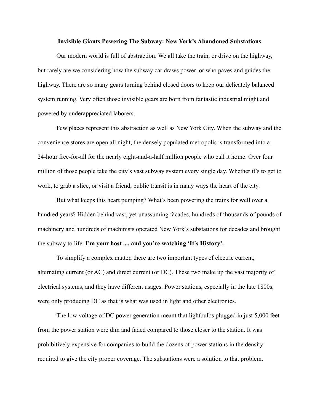## **Invisible Giants Powering The Subway: New York's Abandoned Substations**

Our modern world is full of abstraction. We all take the train, or drive on the highway, but rarely are we considering how the subway car draws power, or who paves and guides the highway. There are so many gears turning behind closed doors to keep our delicately balanced system running. Very often those invisible gears are born from fantastic industrial might and powered by underappreciated laborers.

Few places represent this abstraction as well as New York City. When the subway and the convenience stores are open all night, the densely populated metropolis is transformed into a 24-hour free-for-all for the nearly eight-and-a-half million people who call it home. Over four million of those people take the city's vast subway system every single day. Whether it's to get to work, to grab a slice, or visit a friend, public transit is in many ways the heart of the city.

But what keeps this heart pumping? What's been powering the trains for well over a hundred years? Hidden behind vast, yet unassuming facades, hundreds of thousands of pounds of machinery and hundreds of machinists operated New York's substations for decades and brought the subway to life. **I'm your host .... and you're watching 'It's History'.**

To simplify a complex matter, there are two important types of electric current, alternating current (or AC) and direct current (or DC). These two make up the vast majority of electrical systems, and they have different usages. Power stations, especially in the late 1800s, were only producing DC as that is what was used in light and other electronics.

The low voltage of DC power generation meant that lightbulbs plugged in just 5,000 feet from the power station were dim and faded compared to those closer to the station. It was prohibitively expensive for companies to build the dozens of power stations in the density required to give the city proper coverage. The substations were a solution to that problem.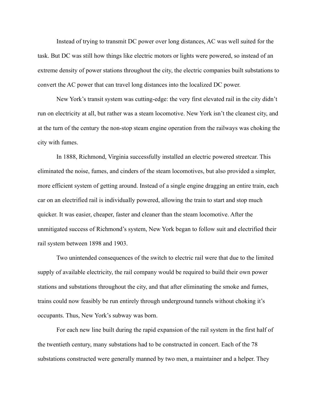Instead of trying to transmit DC power over long distances, AC was well suited for the task. But DC was still how things like electric motors or lights were powered, so instead of an extreme density of power stations throughout the city, the electric companies built substations to convert the AC power that can travel long distances into the localized DC power.

New York's transit system was cutting-edge: the very first elevated rail in the city didn't run on electricity at all, but rather was a steam locomotive. New York isn't the cleanest city, and at the turn of the century the non-stop steam engine operation from the railways was choking the city with fumes.

In 1888, Richmond, Virginia successfully installed an electric powered streetcar. This eliminated the noise, fumes, and cinders of the steam locomotives, but also provided a simpler, more efficient system of getting around. Instead of a single engine dragging an entire train, each car on an electrified rail is individually powered, allowing the train to start and stop much quicker. It was easier, cheaper, faster and cleaner than the steam locomotive. After the unmitigated success of Richmond's system, New York began to follow suit and electrified their rail system between 1898 and 1903.

Two unintended consequences of the switch to electric rail were that due to the limited supply of available electricity, the rail company would be required to build their own power stations and substations throughout the city, and that after eliminating the smoke and fumes, trains could now feasibly be run entirely through underground tunnels without choking it's occupants. Thus, New York's subway was born.

For each new line built during the rapid expansion of the rail system in the first half of the twentieth century, many substations had to be constructed in concert. Each of the 78 substations constructed were generally manned by two men, a maintainer and a helper. They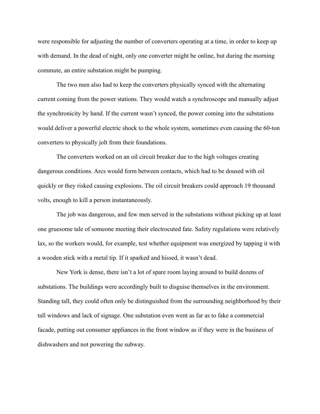were responsible for adjusting the number of converters operating at a time, in order to keep up with demand. In the dead of night, only one converter might be online, but during the morning commute, an entire substation might be pumping.

The two men also had to keep the converters physically synced with the alternating current coming from the power stations. They would watch a synchroscope and manually adjust the synchronicity by hand. If the current wasn't synced, the power coming into the substations would deliver a powerful electric shock to the whole system, sometimes even causing the 60-ton converters to physically jolt from their foundations.

The converters worked on an oil circuit breaker due to the high voltages creating dangerous conditions. Arcs would form between contacts, which had to be doused with oil quickly or they risked causing explosions. The oil circuit breakers could approach 19 thousand volts, enough to kill a person instantaneously.

The job was dangerous, and few men served in the substations without picking up at least one gruesome tale of someone meeting their electrocuted fate. Safety regulations were relatively lax, so the workers would, for example, test whether equipment was energized by tapping it with a wooden stick with a metal tip. If it sparked and hissed, it wasn't dead.

New York is dense, there isn't a lot of spare room laying around to build dozens of substations. The buildings were accordingly built to disguise themselves in the environment. Standing tall, they could often only be distinguished from the surrounding neighborhood by their tall windows and lack of signage. One substation even went as far as to fake a commercial facade, putting out consumer appliances in the front window as if they were in the business of dishwashers and not powering the subway.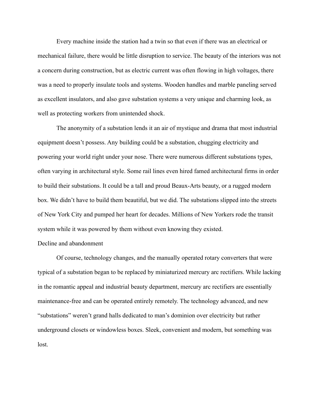Every machine inside the station had a twin so that even if there was an electrical or mechanical failure, there would be little disruption to service. The beauty of the interiors was not a concern during construction, but as electric current was often flowing in high voltages, there was a need to properly insulate tools and systems. Wooden handles and marble paneling served as excellent insulators, and also gave substation systems a very unique and charming look, as well as protecting workers from unintended shock.

The anonymity of a substation lends it an air of mystique and drama that most industrial equipment doesn't possess. Any building could be a substation, chugging electricity and powering your world right under your nose. There were numerous different substations types, often varying in architectural style. Some rail lines even hired famed architectural firms in order to build their substations. It could be a tall and proud Beaux-Arts beauty, or a rugged modern box. We didn't have to build them beautiful, but we did. The substations slipped into the streets of New York City and pumped her heart for decades. Millions of New Yorkers rode the transit system while it was powered by them without even knowing they existed.

## Decline and abandonment

Of course, technology changes, and the manually operated rotary converters that were typical of a substation began to be replaced by miniaturized mercury arc rectifiers. While lacking in the romantic appeal and industrial beauty department, mercury arc rectifiers are essentially maintenance-free and can be operated entirely remotely. The technology advanced, and new "substations" weren't grand halls dedicated to man's dominion over electricity but rather underground closets or windowless boxes. Sleek, convenient and modern, but something was lost.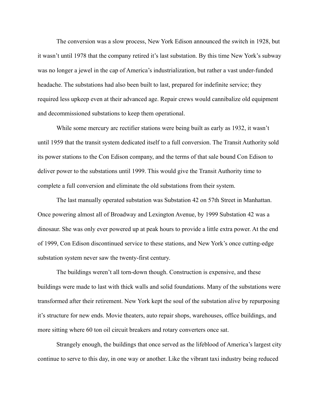The conversion was a slow process, New York Edison announced the switch in 1928, but it wasn't until 1978 that the company retired it's last substation. By this time New York's subway was no longer a jewel in the cap of America's industrialization, but rather a vast under-funded headache. The substations had also been built to last, prepared for indefinite service; they required less upkeep even at their advanced age. Repair crews would cannibalize old equipment and decommissioned substations to keep them operational.

While some mercury arc rectifier stations were being built as early as 1932, it wasn't until 1959 that the transit system dedicated itself to a full conversion. The Transit Authority sold its power stations to the Con Edison company, and the terms of that sale bound Con Edison to deliver power to the substations until 1999. This would give the Transit Authority time to complete a full conversion and eliminate the old substations from their system.

The last manually operated substation was Substation 42 on 57th Street in Manhattan. Once powering almost all of Broadway and Lexington Avenue, by 1999 Substation 42 was a dinosaur. She was only ever powered up at peak hours to provide a little extra power. At the end of 1999, Con Edison discontinued service to these stations, and New York's once cutting-edge substation system never saw the twenty-first century.

The buildings weren't all torn-down though. Construction is expensive, and these buildings were made to last with thick walls and solid foundations. Many of the substations were transformed after their retirement. New York kept the soul of the substation alive by repurposing it's structure for new ends. Movie theaters, auto repair shops, warehouses, office buildings, and more sitting where 60 ton oil circuit breakers and rotary converters once sat.

Strangely enough, the buildings that once served as the lifeblood of America's largest city continue to serve to this day, in one way or another. Like the vibrant taxi industry being reduced